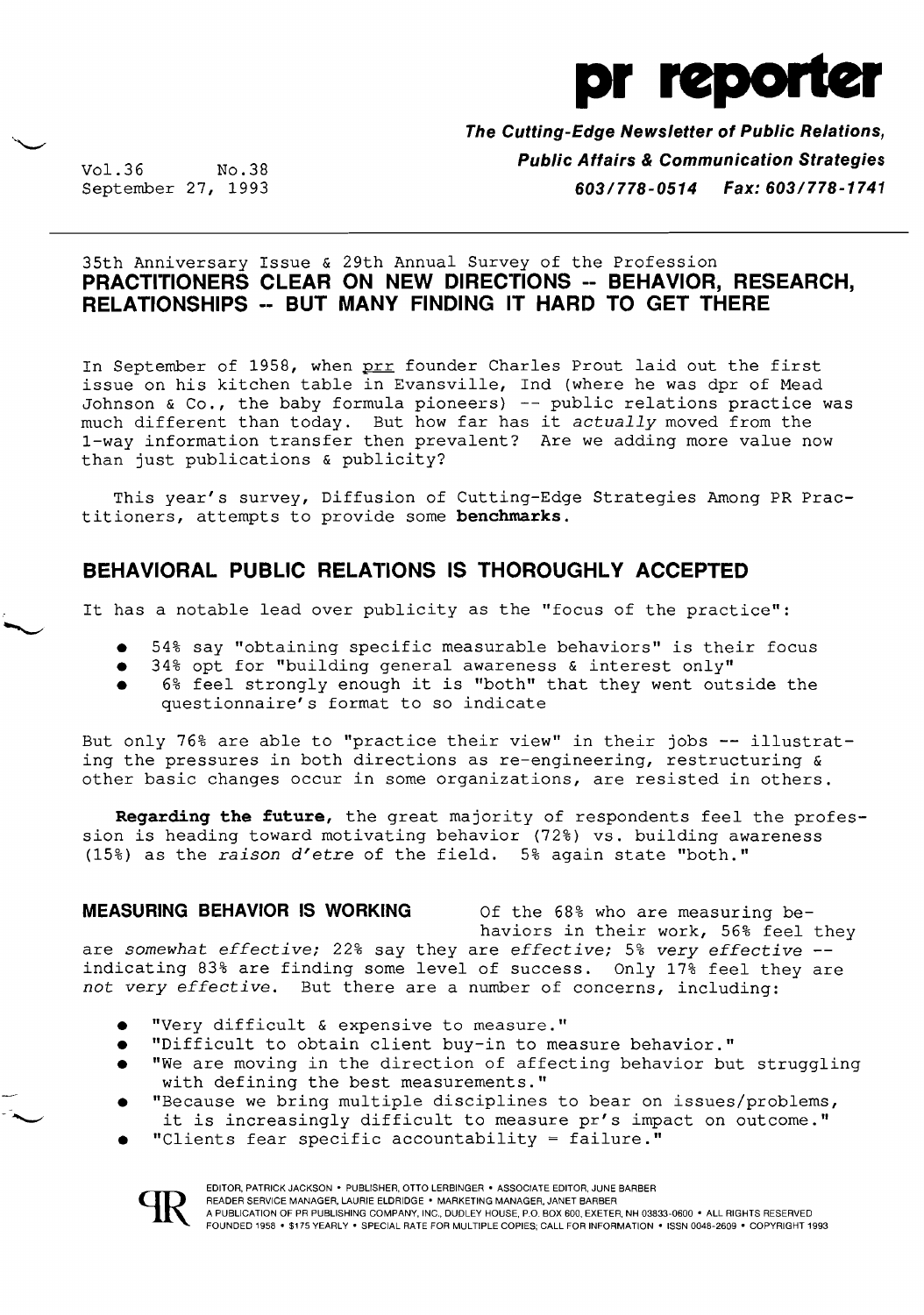

**The Cutting-Edge Newsletter of Public Relations,**  Vol.36 No.38 **No.38** No.38 **Public Affairs & Communication Strategies**<br>**Fax: 603/778-1741 Communication Strategies** September 27, 1993 *603/778-0514 Fax: 603/778-1741* 

### 35th Anniversary Issue & 29th Annual Survey of the Profession **PRACTITIONERS CLEAR ON NEW DIRECTIONS -- BEHAVIOR, RESEARCH, RELATIONSHIPS -- BUT MANY FINDING IT HARD TO GET THERE**

In September of 1958, when prr founder Charles Prout laid out the first issue on his kitchen table in Evansville, Ind (where he was dpr of Mead Johnson & Co., the baby formula pioneers) -- public relations practice was much different than today. But how far has it *actually* moved from the 1-way information transfer then prevalent? Are we adding more value now than just publications & publicity?

This year's survey, Diffusion of Cutting-Edge Strategies Among PR Practitioners, attempts to provide some **benchmarks.** 

# BEHAVIORAL PUBLIC RELATIONS IS THOROUGHLY ACCEPTED

It has a notable lead over publicity as the "focus of the practice":

- 54% say "obtaining specific measurable behaviors" is their focus
- 34% opt for "building general awareness & interest only"
- 6% feel strongly enough it is "both" that they went outside the questionnaire's format to so indicate

But only 76% are able to "practice their view" in their jobs **--** illustrating the pressures in both directions as re-engineering, restructuring & other basic changes occur in some organizations, are resisted in others.

**Regarding the future,** the great majority of respondents feel the profession is heading toward motivating behavior (72%) vs. building awareness (15%) as the *raison d'etre* of the field. 5% again state "both."

#### **MEASURING BEHAVIOR IS WORKING** Of the 68% who are measuring be-

haviors in their work, 56% feel they are *somewhat effective;* 22% say they are *effective;* 5% *very effective*  indicating 83% are finding some level of success. Only 17% feel they are *not very effective.* But there are a number of concerns, including:

- "Very difficult & expensive to measure."
- "Difficult to obtain client buy-in to measure behavior."
- "We are moving in the direction of affecting behavior but struggling with defining the best measurements."
- "Because we bring multiple disciplines to bear on issues/problems, it is increasingly difficult to measure pr's impact on outcome."
- "Clients fear specific accountability = failure."

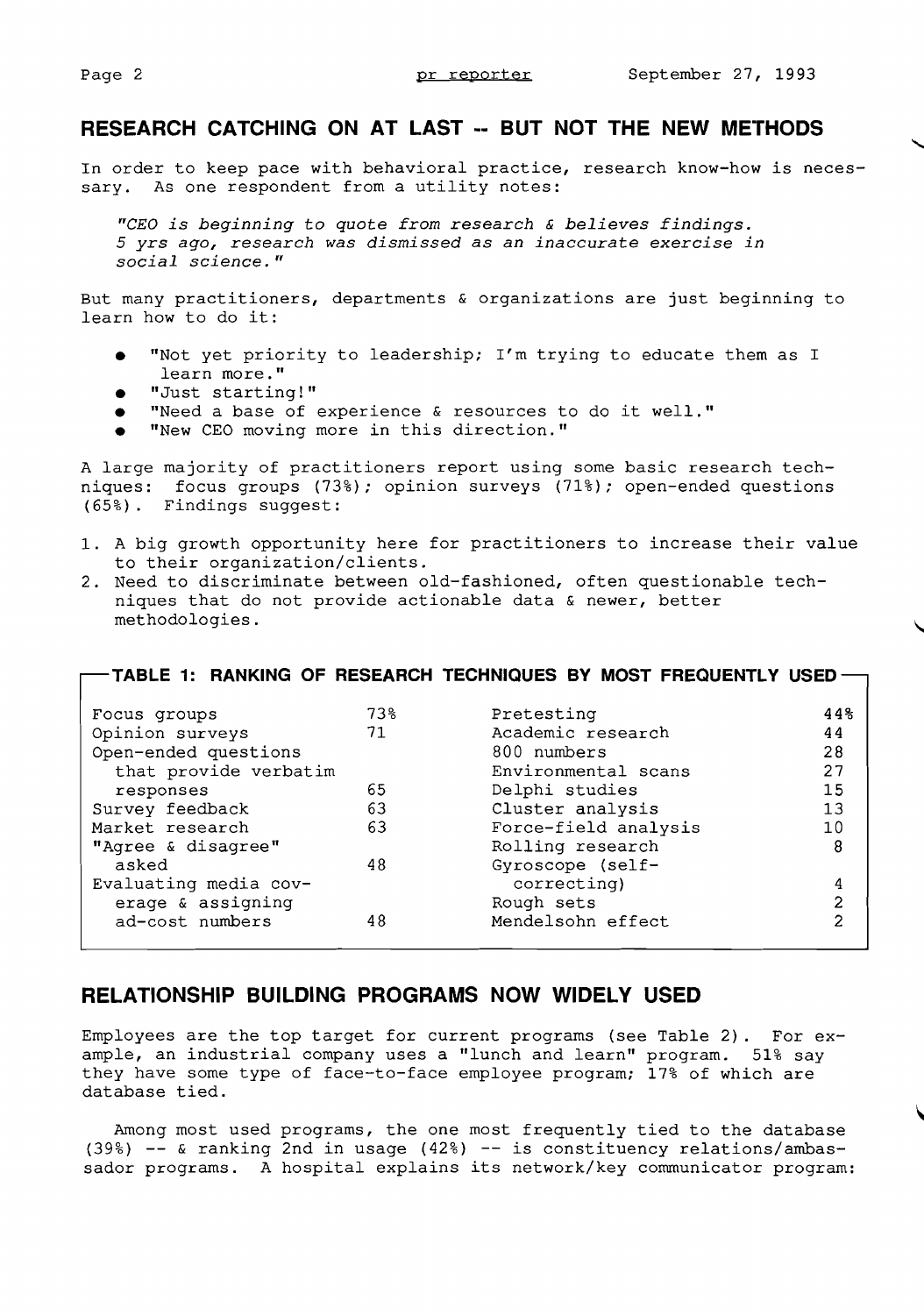# **RESEARCH CATCHING ON AT LAST •• BUT NOT THE NEW METHODS**

In order to keep pace with behavioral practice, research know-how is necessary. As one respondent from a utility notes:

*"CEO is beginning* to *quote from research* & *believes findings.*  5 yrs *ago, research was dismissed* as *an inaccurate exercise in social science."* 

But many practitioners, departments & organizations are just beginning to learn how to do it:

- • "Not yet priority to leadership; I'm trying to educate them as I learn more."
- • "Just starting!"
- "Need a base of experience & resources to do it well."
- "New CEO moving more in this direction."

A large majority of practitioners report using some basic research techniques: focus groups (73%); opinion surveys (71%); open-ended questions (65%). Findings suggest:

- 1. A big growth opportunity here for practitioners to increase their value to their organization/clients.
- 2. Need to discriminate between old-fashioned, often questionable techniques that do not provide actionable data & newer, better methodologies. ,

|                       |     | -TABLE 1: RANKING OF RESEARCH TECHNIQUES BY MOST FREQUENTLY USED |              |
|-----------------------|-----|------------------------------------------------------------------|--------------|
| Focus groups          | 73% | Pretesting                                                       | 44%          |
| Opinion surveys       | 71  | Academic research                                                | 44           |
| Open-ended questions  |     | 800 numbers                                                      | 28           |
| that provide verbatim |     | Environmental scans                                              | 27           |
| responses             | 65  | Delphi studies                                                   | 15           |
| Survey feedback       | 63  | Cluster analysis                                                 | 13           |
| Market research       | 63  | Force-field analysis                                             | 10           |
| "Agree & disagree"    |     | Rolling research                                                 | 8            |
| asked                 | 48  | Gyroscope (self-                                                 |              |
| Evaluating media cov- |     | correcting)                                                      |              |
| erage & assigning     |     | Rough sets                                                       | $\mathbf{z}$ |
| ad-cost numbers       | 48  | Mendelsohn effect                                                | 2            |

### **RELATIONSHIP BUILDING PROGRAMS NOW WIDELY USED**

Employees are the top target for current programs (see Table 2). For *ex*ample, an industrial company uses a "lunch and learn" program. 51% say they have some type of face-to-face employee program; 17% of which are database tied.

Among most used programs, the one most frequently tied to the database (39%) & ranking 2nd in usage (42%) **--** is constituency relations/ambassador programs. A hospital explains its network/key communicator program: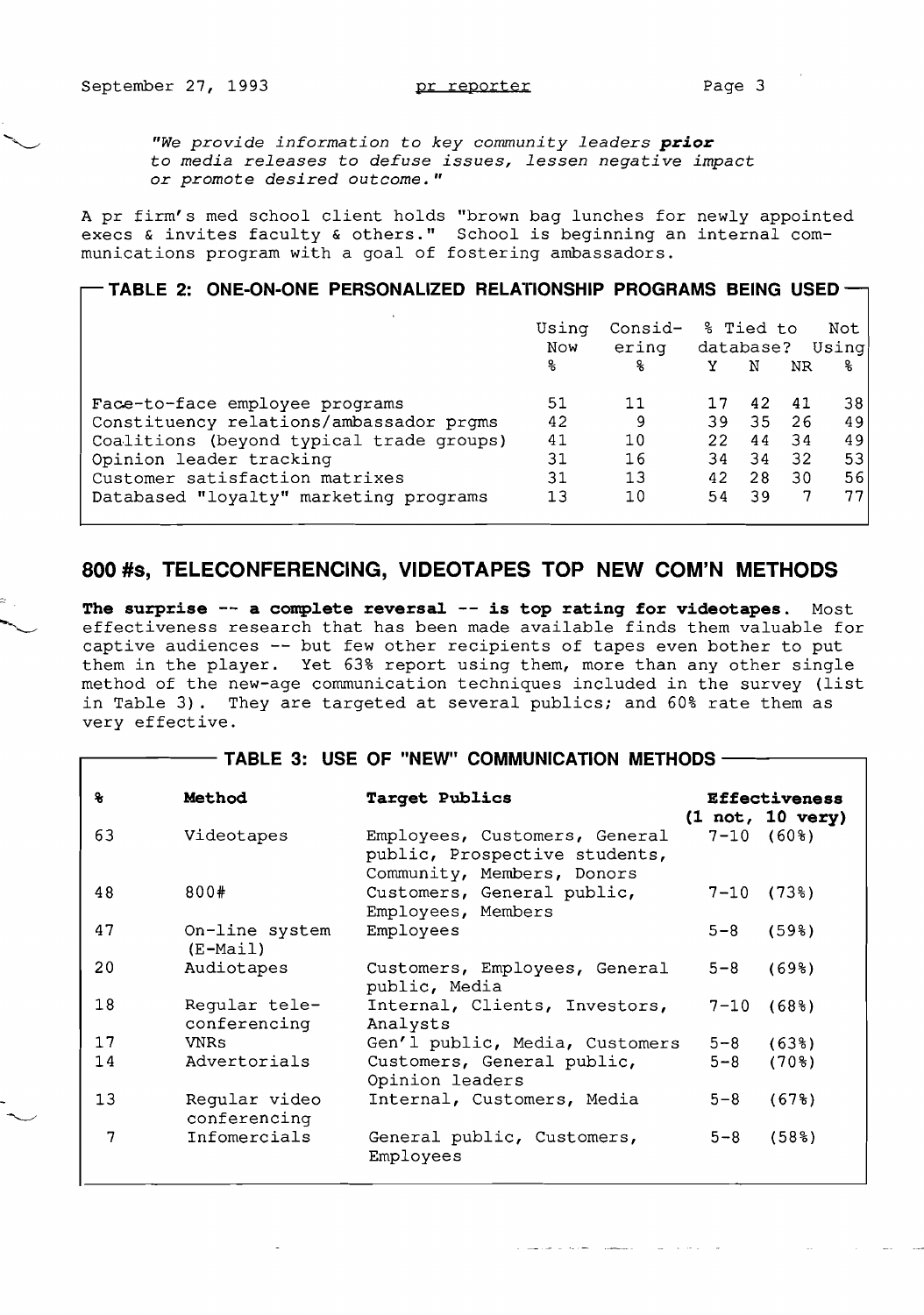*"We provide information* to *key community leaders prior*  tQ *media releases* to *defuse issues, lessen negative impact or promote desired outcome."* 

A pr firm's med school client holds "brown bag lunches for newly appointed execs & invites faculty & others." School is beginning an internal communications program with a goal of fostering ambassadors.

#### **TABLE 2: ONE-ON-ONE PERSONALIZED RELATIONSHIP PROGRAMS BEING USED**

|                                          | Usina<br><b>Now</b> | Consid-<br>ering |     | % Tied to |           | Not<br>database? Using |
|------------------------------------------|---------------------|------------------|-----|-----------|-----------|------------------------|
|                                          | 움                   | ዱ                | Y   | N         | <b>NR</b> | 움                      |
| Face-to-face employee programs           | 51                  | 11               |     | 42        | 41        | 38                     |
| Constituency relations/ambassador prgms  | 42                  | 9                | 39. | 35        | 26        | 49                     |
| Coalitions (beyond typical trade groups) | 41                  | 10               | 22  | 44        | 34        | 49                     |
| Opinion leader tracking                  | 31                  | 16               | 34  | 34        | 32        | 53                     |
| Customer satisfaction matrixes           | 31                  | 13               | 42  | 28        | 30        | 56                     |
| Databased "loyalty" marketing programs   | 13                  | 10               | 54  | 39        |           | 77                     |

## **800 is, TELECONFERENCING, VIDEOTAPES TOP NEW COM'N METHODS**

**The surprise -- a complete reversal -- is top rating for videotapes.** Most effectiveness research that has been made available finds them valuable for captive audiences -- but few other recipients of tapes even bother to put them in the player. Yet 63% report using them, more than any other single method of the new-age communication techniques included in the survey (list in Table 3). They are targeted at several publics; and 60% rate them as very effective .

#### - TABLE 3: USE OF "NEW" COMMUNICATION METHODS -

| $\mathbf{r}$ | Method                        | Target Publics                                                                               |          | <b>Effectiveness</b><br>(1 not, 10 very) |
|--------------|-------------------------------|----------------------------------------------------------------------------------------------|----------|------------------------------------------|
| 63           | Videotapes                    | Employees, Customers, General<br>public, Prospective students,<br>Community, Members, Donors |          | $7-10(60\%)$                             |
| 48           | 800#                          | Customers, General public,<br>Employees, Members                                             | $7 - 10$ | $(73$ <sup>8</sup> )                     |
| 47           | On-line system<br>$(E-Mail)$  | Employees                                                                                    | $5 - 8$  | (598)                                    |
| 20           | Audiotapes                    | Customers, Employees, General<br>public, Media                                               | $5 - 8$  | (698)                                    |
| 18           | Regular tele-<br>conferencing | Internal, Clients, Investors,<br>Analysts                                                    | $7 - 10$ | (68 <sup>8</sup> )                       |
| 17           | <b>VNRs</b>                   | Gen'l public, Media, Customers                                                               | $5 - 8$  | (638)                                    |
| 14           | Advertorials                  | Customers, General public,<br>Opinion leaders                                                | $5 - 8$  | (70 <sub>8</sub> )                       |
| 13           | Reqular video<br>conferencing | Internal, Customers, Media                                                                   | $5 - 8$  | (678)                                    |
| 7            | Infomercials                  | General public, Customers,<br>Employees                                                      | $5 - 8$  | (58 <sup>8</sup> )                       |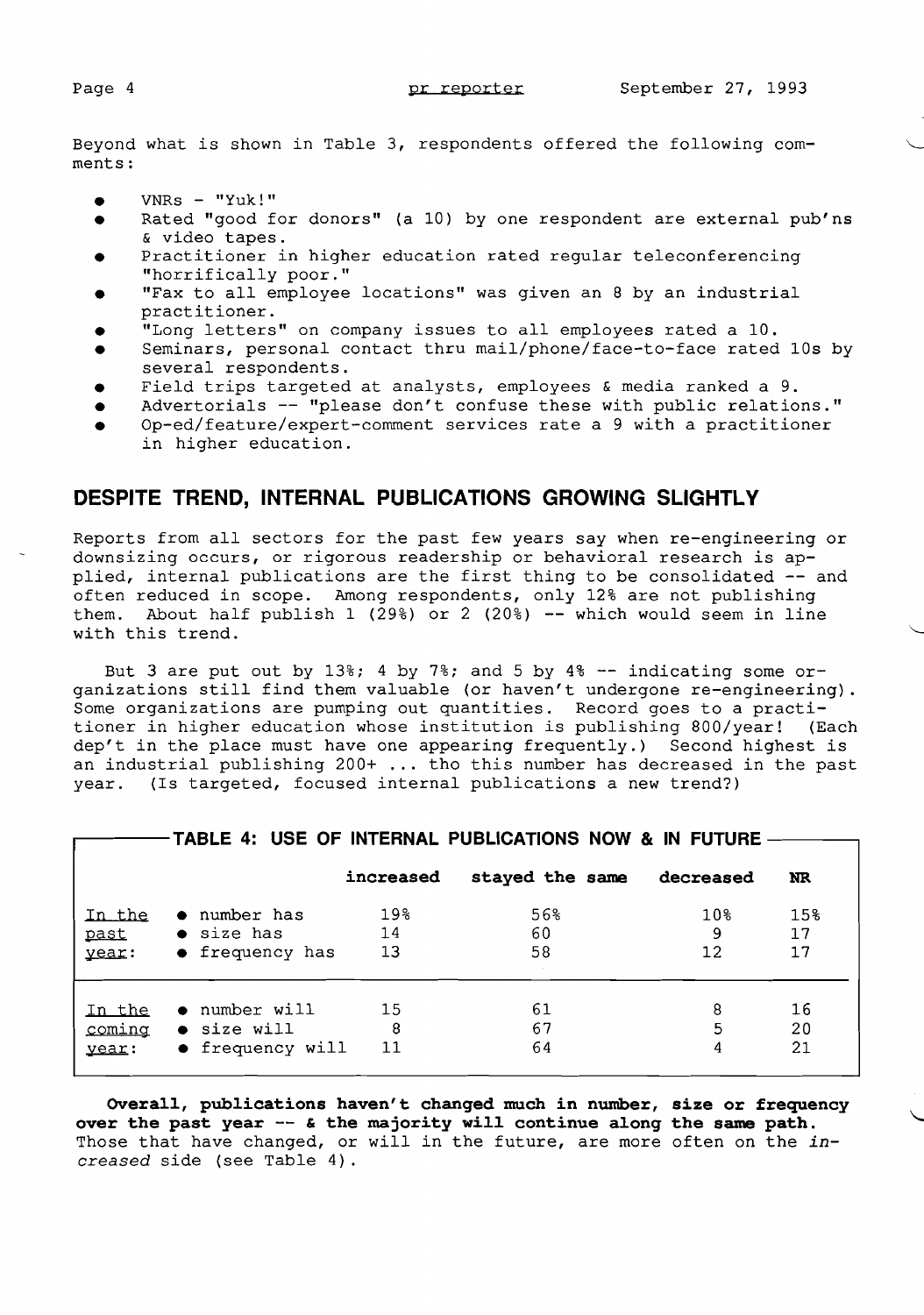Beyond what is shown in Table 3, respondents offered the following comments:

- • VNRs "Yuk!"
- Rated "good for donors" (a 10) by one respondent are external pub'ns & video tapes.
- Practitioner in higher education rated regular teleconferencing "horrifically poor."
- • "Fax to all employee locations" was given an 8 by an industrial practitioner.
- • "Long letters" on company issues to all employees rated a 10.
- Seminars, personal contact thru mail/phone/face-to-face rated 10s by several respondents.
- Field trips targeted at analysts, employees & media ranked a 9.
- Advertorials -- "please don't confuse these with public relations." Op-ed/feature/expert-comment services rate a 9 with a practitioner
- in higher education.

## **DESPITE TREND, INTERNAL PUBLICATIONS GROWING SLIGHTLY**

Reports from all sectors for the past few years say when re-engineering or downsizing occurs, or rigorous readership or behavioral research is applied, internal publications are the first thing to be consolidated -- and often reduced in scope. Among respondents, only 12% are not publishing them. About half publish 1 (29%) or 2 (20%) -- which would seem in line with this trend.

But 3 are put out by 13%; 4 by 7%; and 5 by 4%  $-$  indicating some organizations still find them valuable (or haven't undergone re-engineering). Some organizations are pumping out quantities. Record goes to a practitioner in higher education whose institution is publishing 800/year! (Each tioner in higher education whose institution is publishing 800/year! (Each<br>dep't in the place must have one appearing frequently.) Second highest is an industrial publishing 200+ ... tho this number has decreased in the past year. (Is targeted, focused internal publications a new trend?)

|        |                         | increased | stayed the same | decreased         | NR. |
|--------|-------------------------|-----------|-----------------|-------------------|-----|
| In the | • number has            | 19%       | 56%             | 10%               | 15% |
| past   | $\bullet$ size has      | 14        | 60              | 9                 | 17  |
| year:  | $\bullet$ frequency has | 13        | 58              | $12 \overline{2}$ | 17  |
| In the | $\bullet$ number will   | 15        | 61              | 8                 | 16  |
| coming | • size will             | 8         | 67              | 5                 | 20  |
| year:  | • frequency will        | 11        | 64              | 4                 | 21  |

 $-$  TABLE 4: USE OF INTERNAL PUBLICATIONS NOW & IN FUTURE  $-$ 

**Overa11, pub1ications haven't changed much in number, size or frequency**  over the past year -- & the majority will continue along the same path. Those that have changed, or will in the future, are more often on the *increased* side (see Table 4).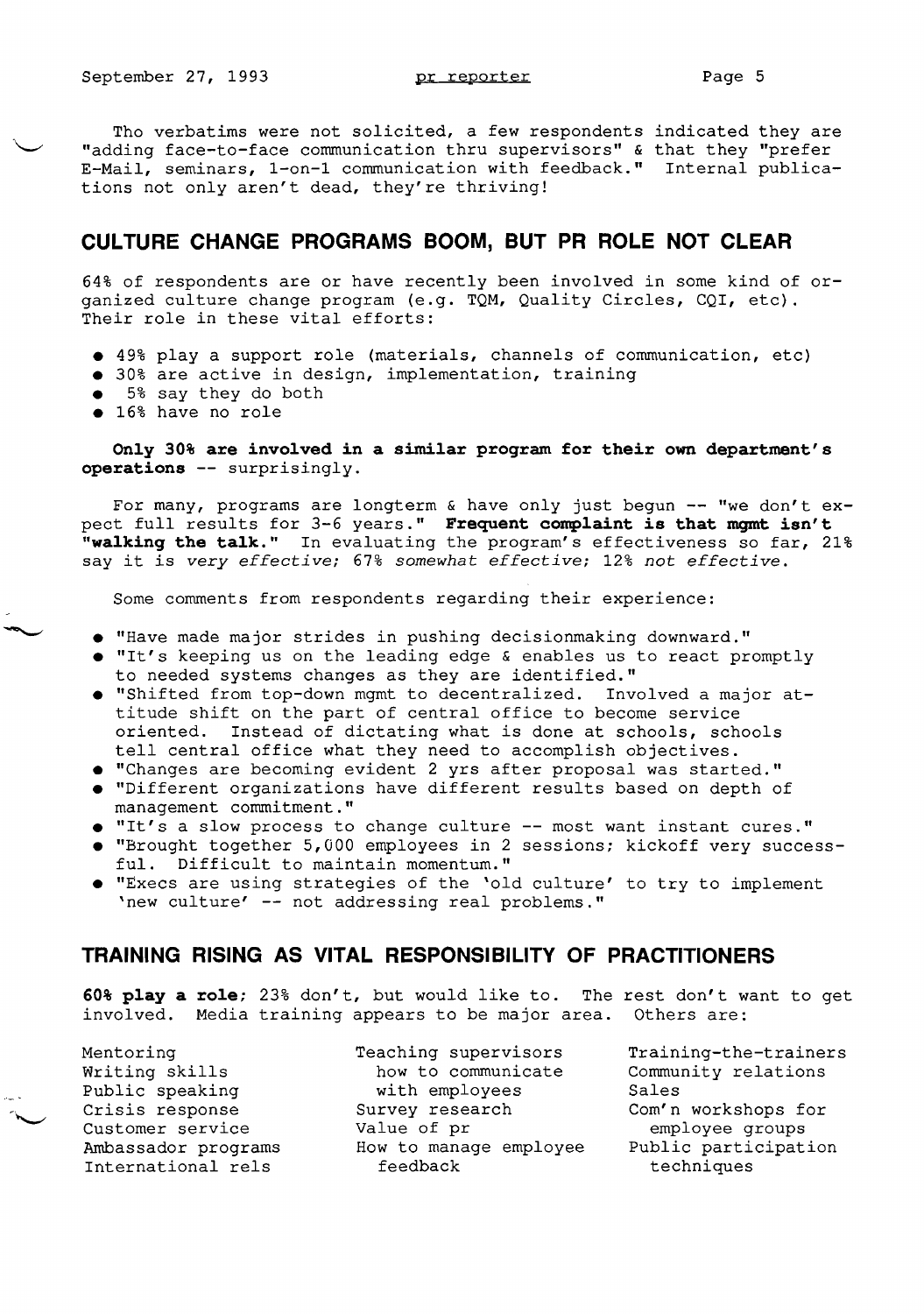Tho verbatims were not solicited, a few respondents indicated they are "adding face-to-face communication thru supervisors" & that they "prefer E-Mail, seminars, 1-on-1 communication with feedback." Internal publications not only aren't dead, they're thriving!

#### **CULTURE CHANGE PROGRAMS BOOM, BUT PR ROLE NOT CLEAR**

64% of respondents are or have recently been involved in some kind of organized culture change program (e.g. TQM, Quality Circles, CQI, etc). Their role in these vital efforts:

- 49% play a support role (materials, channels of communication, etc)
- 30% are active in design, implementation, training
- 5% say they do both
- 16% have no role

Only 30% are involved in a similar program for their own department's **operations --** surprisingly.

For many, programs are longterm & have only just begun  $--$  "we don't expect full results for 3-6 years." Frequent complaint is that momt isn't "walking the talk." In evaluating the program's effectiveness so far, 21% say it is *very effective;* 67% *somewhat effective;* 12% *not effective.* 

Some comments from respondents regarding their experience:

- "Have made major strides in pushing decisionmaking downward."
- $\bullet$  "It's keeping us on the leading edge & enables us to react promptly to needed systems changes as they are identified."
- "Shifted from top-down mgmt to decentralized. Involved a major attitude shift on the part of central office to become service<br>oriented. Instead of dictating what is done at schools, sch Instead of dictating what is done at schools, schools tell central office what they need to accomplish objectives.
- "Changes are becoming evident 2 yrs after proposal was started."
- • "Different organizations have different results based on depth of management commitment."
- "It's a slow process to change culture -- most want instant cures."
- • "Brought together 5,000 employees in 2 sessions; kickoff very successful. Difficult to maintain momentum."
- • "Execs are using strategies of the 'old culture' to try to implement 'new culture' -- not addressing real problems."

## **TRAINING RISING AS VITAL RESPONSIBILITY OF PRACTITIONERS**

**60% play a role**; 23% don't, but would like to. The rest don't want to get involved. Media training appears to be major area. Others are:

Mentoring **Teaching supervisors** Training-the-trainers

Writing skills how to communicate Community relations Public speaking methomorphic speaking with employees sales Crisis response **Survey research** Com'n workshops for Customer service value of pr and employee groups Ambassador programs and How to manage employee Public participation International rels feedback techniques